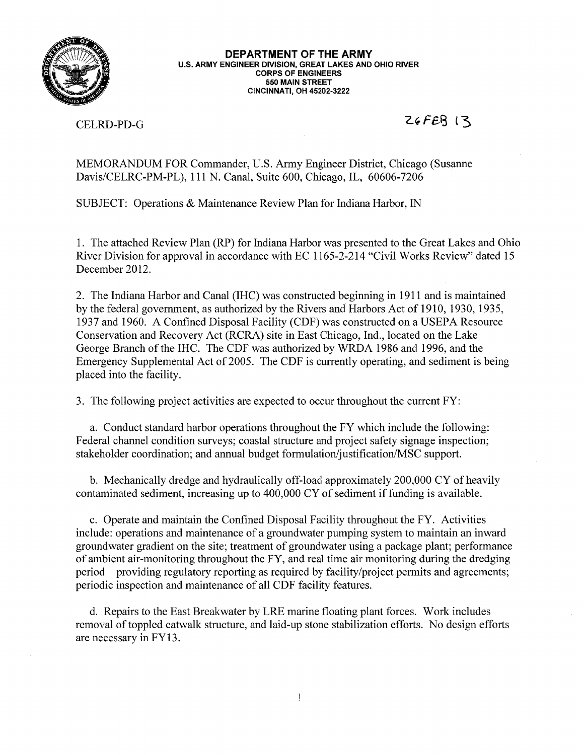

DEPARTMENT OF THE ARMY U.S. ARMY ENGINEER DIVISION, GREAT LAKES AND OHIO RIVER **CORPS OF ENGINEERS** 550 MAIN STREET **CINCINNATI, OH 45202-3222** 

CELRD-PD-G

# $ZGEEB$   $13$

MEMORANDUM FOR Commander, U.S. Army Engineer District, Chicago (Susanne Davis/CELRC-PM-PL), 111 N. Canal, Suite 600, Chicago, IL, 60606-7206

SUBJECT: Operations & Maintenance Review Plan for Indiana Harbor, IN

1. The attached Review Plan (RP) for Indiana Harbor was presented to the Great Lakes and Ohio River Division for approval in accordance with EC 1165-2-214 "Civil Works Review" dated 15 December 2012.

2. The Indiana Harbor and Canal (IHC) was constructed beginning in 1911 and is maintained by the federal government, as authorized by the Rivers and Harbors Act of 1910, 1930, 1935, 1937 and 1960. A Confined Disposal Facility (CDF) was constructed on a USEPA Resource Conservation and Recovery Act (RCRA) site in East Chicago, Ind., located on the Lake George Branch of the IHC. The CDF was authorized by WRDA 1986 and 1996, and the Emergency Supplemental Act of 2005. The CDF is currently operating, and sediment is being placed into the facility.

3. The following project activities are expected to occur throughout the current FY:

a. Conduct standard harbor operations throughout the FY which include the following: Federal channel condition surveys; coastal structure and project safety signage inspection; stakeholder coordination; and annual budget formulation/justification/MSC support.

b. Mechanically dredge and hydraulically off-load approximately 200,000 CY of heavily contaminated sediment, increasing up to 400,000 CY of sediment if funding is available.

c. Operate and maintain the Confined Disposal Facility throughout the FY. Activities include: operations and maintenance of a groundwater pumping system to maintain an inward groundwater gradient on the site; treatment of groundwater using a package plant; performance of ambient air-monitoring throughout the FY, and real time air monitoring during the dredging period providing regulatory reporting as required by facility/project permits and agreements; periodic inspection and maintenance of all CDF facility features.

d. Repairs to the East Breakwater by LRE marine floating plant forces. Work includes removal of toppled catwalk structure, and laid-up stone stabilization efforts. No design efforts are necessary in FY13.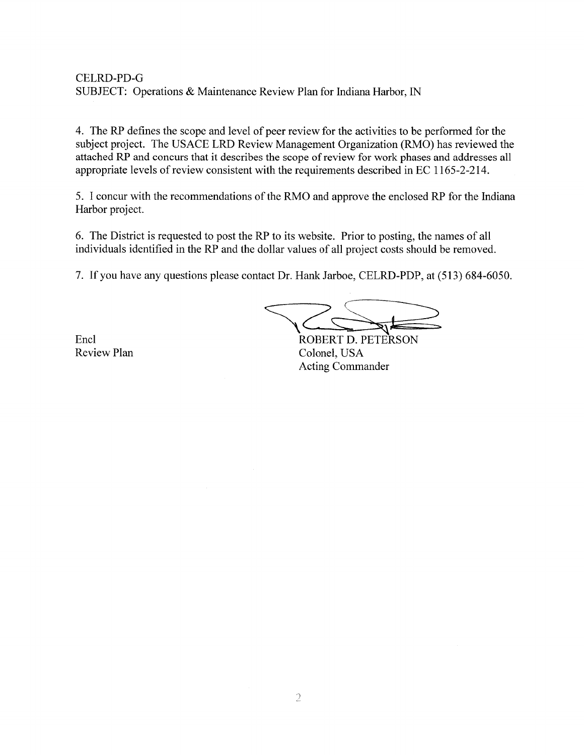## **CELRD-PD-G** SUBJECT: Operations & Maintenance Review Plan for Indiana Harbor, IN

4. The RP defines the scope and level of peer review for the activities to be performed for the subject project. The USACE LRD Review Management Organization (RMO) has reviewed the attached RP and concurs that it describes the scope of review for work phases and addresses all appropriate levels of review consistent with the requirements described in EC 1165-2-214.

5. I concur with the recommendations of the RMO and approve the enclosed RP for the Indiana Harbor project.

6. The District is requested to post the RP to its website. Prior to posting, the names of all individuals identified in the RP and the dollar values of all project costs should be removed.

7. If you have any questions please contact Dr. Hank Jarboe, CELRD-PDP, at (513) 684-6050.

Encl **Review Plan** 

ROBERT D. PETERSON Colonel, USA Acting Commander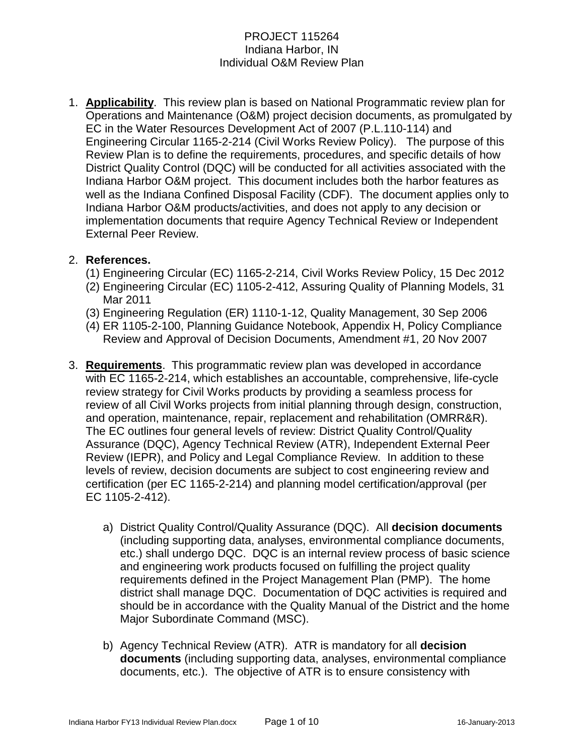1. **Applicability**. This review plan is based on National Programmatic review plan for Operations and Maintenance (O&M) project decision documents, as promulgated by EC in the Water Resources Development Act of 2007 (P.L.110-114) and Engineering Circular 1165-2-214 (Civil Works Review Policy). The purpose of this Review Plan is to define the requirements, procedures, and specific details of how District Quality Control (DQC) will be conducted for all activities associated with the Indiana Harbor O&M project. This document includes both the harbor features as well as the Indiana Confined Disposal Facility (CDF). The document applies only to Indiana Harbor O&M products/activities, and does not apply to any decision or implementation documents that require Agency Technical Review or Independent External Peer Review.

## 2. **References.**

- (1) Engineering Circular (EC) 1165-2-214, Civil Works Review Policy, 15 Dec 2012
- (2) Engineering Circular (EC) 1105-2-412, Assuring Quality of Planning Models, 31 Mar 2011
- (3) Engineering Regulation (ER) 1110-1-12, Quality Management, 30 Sep 2006
- (4) ER 1105-2-100, Planning Guidance Notebook, Appendix H, Policy Compliance Review and Approval of Decision Documents, Amendment #1, 20 Nov 2007
- 3. **Requirements**. This programmatic review plan was developed in accordance with EC 1165-2-214, which establishes an accountable, comprehensive, life-cycle review strategy for Civil Works products by providing a seamless process for review of all Civil Works projects from initial planning through design, construction, and operation, maintenance, repair, replacement and rehabilitation (OMRR&R). The EC outlines four general levels of review: District Quality Control/Quality Assurance (DQC), Agency Technical Review (ATR), Independent External Peer Review (IEPR), and Policy and Legal Compliance Review. In addition to these levels of review, decision documents are subject to cost engineering review and certification (per EC 1165-2-214) and planning model certification/approval (per EC 1105-2-412).
	- a) District Quality Control/Quality Assurance (DQC). All **decision documents** (including supporting data, analyses, environmental compliance documents, etc.) shall undergo DQC. DQC is an internal review process of basic science and engineering work products focused on fulfilling the project quality requirements defined in the Project Management Plan (PMP). The home district shall manage DQC. Documentation of DQC activities is required and should be in accordance with the Quality Manual of the District and the home Major Subordinate Command (MSC).
	- b) Agency Technical Review (ATR). ATR is mandatory for all **decision documents** (including supporting data, analyses, environmental compliance documents, etc.). The objective of ATR is to ensure consistency with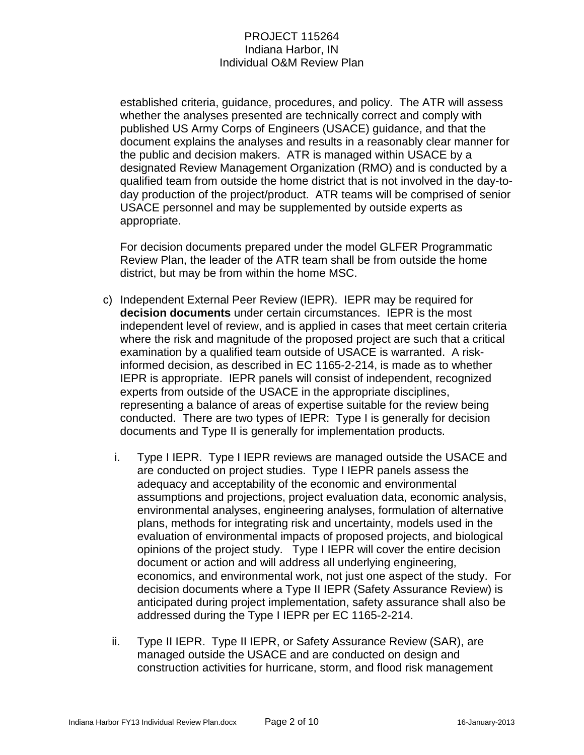established criteria, guidance, procedures, and policy. The ATR will assess whether the analyses presented are technically correct and comply with published US Army Corps of Engineers (USACE) guidance, and that the document explains the analyses and results in a reasonably clear manner for the public and decision makers. ATR is managed within USACE by a designated Review Management Organization (RMO) and is conducted by a qualified team from outside the home district that is not involved in the day-today production of the project/product. ATR teams will be comprised of senior USACE personnel and may be supplemented by outside experts as appropriate.

For decision documents prepared under the model GLFER Programmatic Review Plan, the leader of the ATR team shall be from outside the home district, but may be from within the home MSC.

- c) Independent External Peer Review (IEPR). IEPR may be required for **decision documents** under certain circumstances. IEPR is the most independent level of review, and is applied in cases that meet certain criteria where the risk and magnitude of the proposed project are such that a critical examination by a qualified team outside of USACE is warranted. A riskinformed decision, as described in EC 1165-2-214, is made as to whether IEPR is appropriate. IEPR panels will consist of independent, recognized experts from outside of the USACE in the appropriate disciplines, representing a balance of areas of expertise suitable for the review being conducted. There are two types of IEPR: Type I is generally for decision documents and Type II is generally for implementation products.
	- i. Type I IEPR. Type I IEPR reviews are managed outside the USACE and are conducted on project studies. Type I IEPR panels assess the adequacy and acceptability of the economic and environmental assumptions and projections, project evaluation data, economic analysis, environmental analyses, engineering analyses, formulation of alternative plans, methods for integrating risk and uncertainty, models used in the evaluation of environmental impacts of proposed projects, and biological opinions of the project study. Type I IEPR will cover the entire decision document or action and will address all underlying engineering, economics, and environmental work, not just one aspect of the study. For decision documents where a Type II IEPR (Safety Assurance Review) is anticipated during project implementation, safety assurance shall also be addressed during the Type I IEPR per EC 1165-2-214.
	- ii. Type II IEPR. Type II IEPR, or Safety Assurance Review (SAR), are managed outside the USACE and are conducted on design and construction activities for hurricane, storm, and flood risk management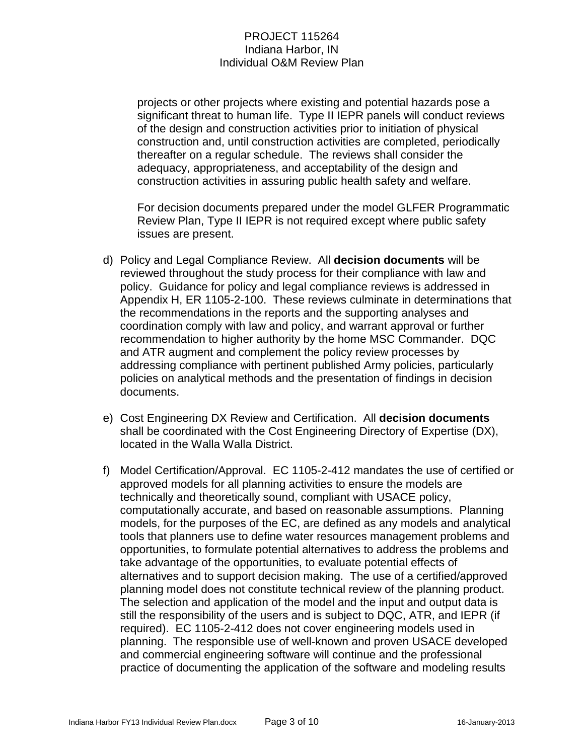projects or other projects where existing and potential hazards pose a significant threat to human life. Type II IEPR panels will conduct reviews of the design and construction activities prior to initiation of physical construction and, until construction activities are completed, periodically thereafter on a regular schedule. The reviews shall consider the adequacy, appropriateness, and acceptability of the design and construction activities in assuring public health safety and welfare.

For decision documents prepared under the model GLFER Programmatic Review Plan, Type II IEPR is not required except where public safety issues are present.

- d) Policy and Legal Compliance Review. All **decision documents** will be reviewed throughout the study process for their compliance with law and policy. Guidance for policy and legal compliance reviews is addressed in Appendix H, ER 1105-2-100. These reviews culminate in determinations that the recommendations in the reports and the supporting analyses and coordination comply with law and policy, and warrant approval or further recommendation to higher authority by the home MSC Commander. DQC and ATR augment and complement the policy review processes by addressing compliance with pertinent published Army policies, particularly policies on analytical methods and the presentation of findings in decision documents.
- e) Cost Engineering DX Review and Certification. All **decision documents** shall be coordinated with the Cost Engineering Directory of Expertise (DX), located in the Walla Walla District.
- f) Model Certification/Approval. EC 1105-2-412 mandates the use of certified or approved models for all planning activities to ensure the models are technically and theoretically sound, compliant with USACE policy, computationally accurate, and based on reasonable assumptions. Planning models, for the purposes of the EC, are defined as any models and analytical tools that planners use to define water resources management problems and opportunities, to formulate potential alternatives to address the problems and take advantage of the opportunities, to evaluate potential effects of alternatives and to support decision making. The use of a certified/approved planning model does not constitute technical review of the planning product. The selection and application of the model and the input and output data is still the responsibility of the users and is subject to DQC, ATR, and IEPR (if required). EC 1105-2-412 does not cover engineering models used in planning. The responsible use of well-known and proven USACE developed and commercial engineering software will continue and the professional practice of documenting the application of the software and modeling results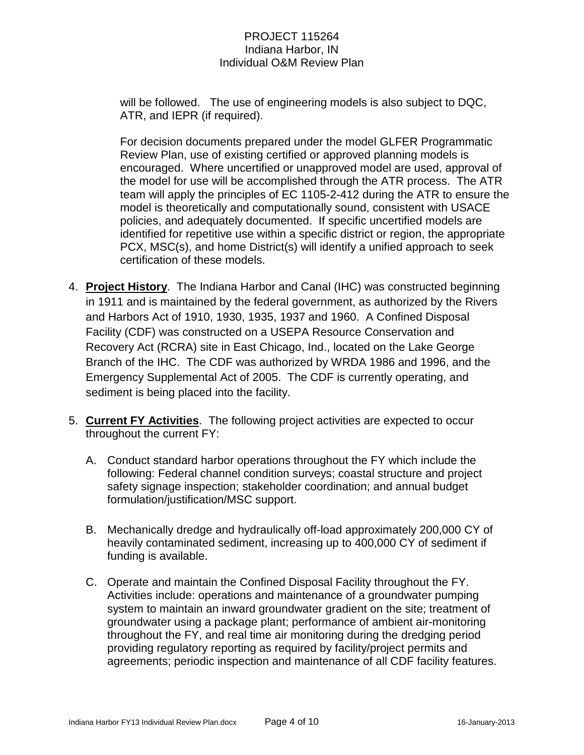will be followed. The use of engineering models is also subject to DQC, ATR, and IEPR (if required).

For decision documents prepared under the model GLFER Programmatic Review Plan, use of existing certified or approved planning models is encouraged. Where uncertified or unapproved model are used, approval of the model for use will be accomplished through the ATR process. The ATR team will apply the principles of EC 1105-2-412 during the ATR to ensure the model is theoretically and computationally sound, consistent with USACE policies, and adequately documented. If specific uncertified models are identified for repetitive use within a specific district or region, the appropriate PCX, MSC(s), and home District(s) will identify a unified approach to seek certification of these models.

- 4. **Project History**. The Indiana Harbor and Canal (IHC) was constructed beginning in 1911 and is maintained by the federal government, as authorized by the Rivers and Harbors Act of 1910, 1930, 1935, 1937 and 1960. A Confined Disposal Facility (CDF) was constructed on a USEPA Resource Conservation and Recovery Act (RCRA) site in East Chicago, Ind., located on the Lake George Branch of the IHC. The CDF was authorized by WRDA 1986 and 1996, and the Emergency Supplemental Act of 2005. The CDF is currently operating, and sediment is being placed into the facility.
- 5. **Current FY Activities**. The following project activities are expected to occur throughout the current FY:
	- A. Conduct standard harbor operations throughout the FY which include the following: Federal channel condition surveys; coastal structure and project safety signage inspection; stakeholder coordination; and annual budget formulation/justification/MSC support.
	- B. Mechanically dredge and hydraulically off-load approximately 200,000 CY of heavily contaminated sediment, increasing up to 400,000 CY of sediment if funding is available.
	- C. Operate and maintain the Confined Disposal Facility throughout the FY. Activities include: operations and maintenance of a groundwater pumping system to maintain an inward groundwater gradient on the site; treatment of groundwater using a package plant; performance of ambient air-monitoring throughout the FY, and real time air monitoring during the dredging period providing regulatory reporting as required by facility/project permits and agreements; periodic inspection and maintenance of all CDF facility features.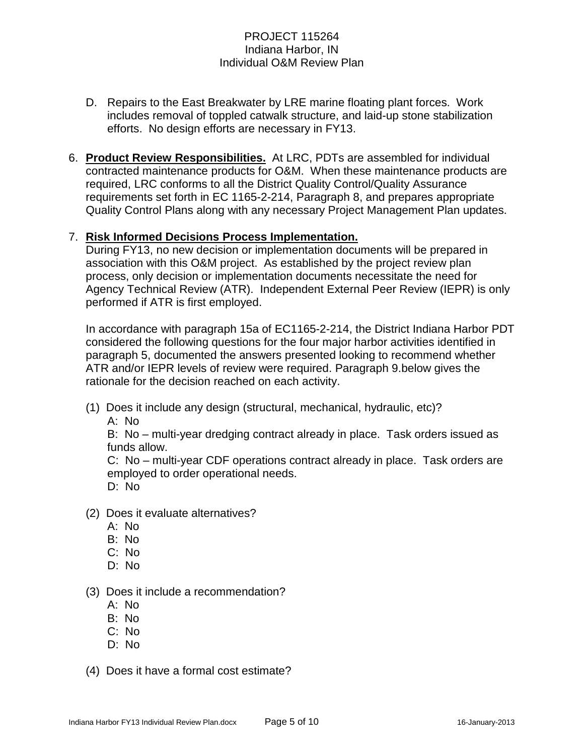- D. Repairs to the East Breakwater by LRE marine floating plant forces. Work includes removal of toppled catwalk structure, and laid-up stone stabilization efforts. No design efforts are necessary in FY13.
- 6. **Product Review Responsibilities.** At LRC, PDTs are assembled for individual contracted maintenance products for O&M. When these maintenance products are required, LRC conforms to all the District Quality Control/Quality Assurance requirements set forth in EC 1165-2-214, Paragraph 8, and prepares appropriate Quality Control Plans along with any necessary Project Management Plan updates.

## 7. **Risk Informed Decisions Process Implementation.**

During FY13, no new decision or implementation documents will be prepared in association with this O&M project. As established by the project review plan process, only decision or implementation documents necessitate the need for Agency Technical Review (ATR). Independent External Peer Review (IEPR) is only performed if ATR is first employed.

In accordance with paragraph 15a of EC1165-2-214, the District Indiana Harbor PDT considered the following questions for the four major harbor activities identified in paragraph 5, documented the answers presented looking to recommend whether ATR and/or IEPR levels of review were required. Paragraph 9.below gives the rationale for the decision reached on each activity.

(1) Does it include any design (structural, mechanical, hydraulic, etc)?

A: No

B: No – multi-year dredging contract already in place. Task orders issued as funds allow.

C: No – multi-year CDF operations contract already in place. Task orders are employed to order operational needs. D: No

- (2) Does it evaluate alternatives?
	- A: No
	- B: No
	- C: No
	- D: No
- (3) Does it include a recommendation?
	- A: No
	- B: No
	- C: No
	- D: No
- (4) Does it have a formal cost estimate?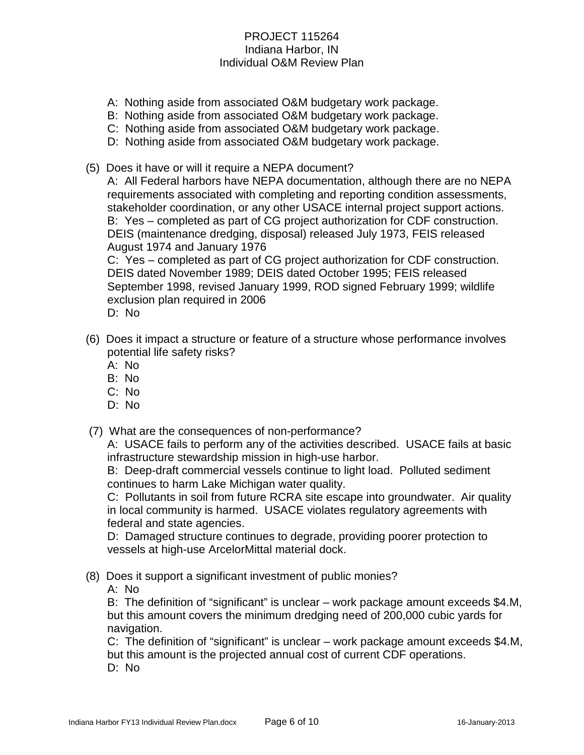- A: Nothing aside from associated O&M budgetary work package.
- B: Nothing aside from associated O&M budgetary work package.
- C: Nothing aside from associated O&M budgetary work package.
- D: Nothing aside from associated O&M budgetary work package.
- (5) Does it have or will it require a NEPA document?

A: All Federal harbors have NEPA documentation, although there are no NEPA requirements associated with completing and reporting condition assessments, stakeholder coordination, or any other USACE internal project support actions. B: Yes – completed as part of CG project authorization for CDF construction. DEIS (maintenance dredging, disposal) released July 1973, FEIS released August 1974 and January 1976

C: Yes – completed as part of CG project authorization for CDF construction. DEIS dated November 1989; DEIS dated October 1995; FEIS released September 1998, revised January 1999, ROD signed February 1999; wildlife exclusion plan required in 2006

- D: No
- (6) Does it impact a structure or feature of a structure whose performance involves potential life safety risks?
	- A: No
	- B: No
	- C: No
	- D: No
- (7) What are the consequences of non-performance?

A: USACE fails to perform any of the activities described. USACE fails at basic infrastructure stewardship mission in high-use harbor.

B: Deep-draft commercial vessels continue to light load. Polluted sediment continues to harm Lake Michigan water quality.

C: Pollutants in soil from future RCRA site escape into groundwater. Air quality in local community is harmed. USACE violates regulatory agreements with federal and state agencies.

D: Damaged structure continues to degrade, providing poorer protection to vessels at high-use ArcelorMittal material dock.

(8) Does it support a significant investment of public monies?

A: No

B: The definition of "significant" is unclear – work package amount exceeds \$4.M, but this amount covers the minimum dredging need of 200,000 cubic yards for navigation.

C: The definition of "significant" is unclear – work package amount exceeds \$4.M, but this amount is the projected annual cost of current CDF operations. D: No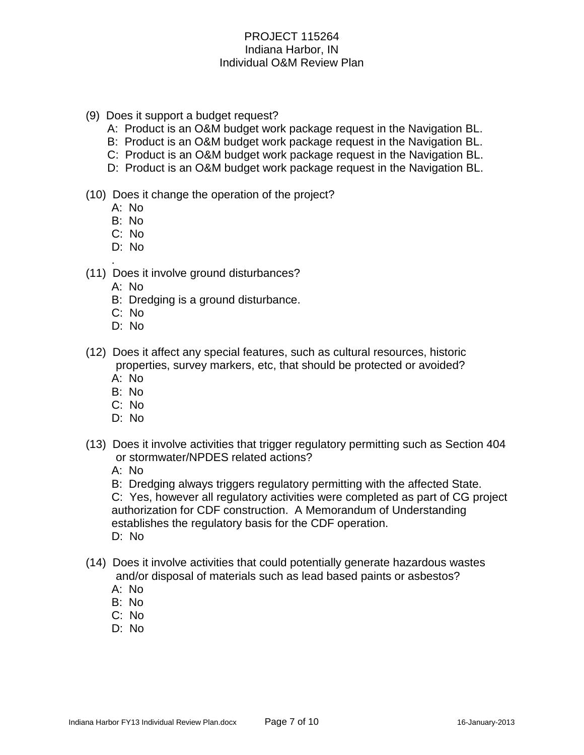- (9) Does it support a budget request?
	- A: Product is an O&M budget work package request in the Navigation BL.
	- B: Product is an O&M budget work package request in the Navigation BL.
	- C: Product is an O&M budget work package request in the Navigation BL.
	- D: Product is an O&M budget work package request in the Navigation BL.
- (10) Does it change the operation of the project?
	- A: No
	- B: No
	- C: No
	- D: No
- . (11) Does it involve ground disturbances?
	- A: No
	- B: Dredging is a ground disturbance.
	- C: No
	- D: No
- (12) Does it affect any special features, such as cultural resources, historic properties, survey markers, etc, that should be protected or avoided?
	- A: No
	- B: No
	- C: No
	- D: No
- (13) Does it involve activities that trigger regulatory permitting such as Section 404 or stormwater/NPDES related actions?
	- A: No
	- B: Dredging always triggers regulatory permitting with the affected State.

C: Yes, however all regulatory activities were completed as part of CG project authorization for CDF construction. A Memorandum of Understanding establishes the regulatory basis for the CDF operation. D: No

- (14) Does it involve activities that could potentially generate hazardous wastes and/or disposal of materials such as lead based paints or asbestos?
	- A: No
	- B: No
	- C: No
	- D: No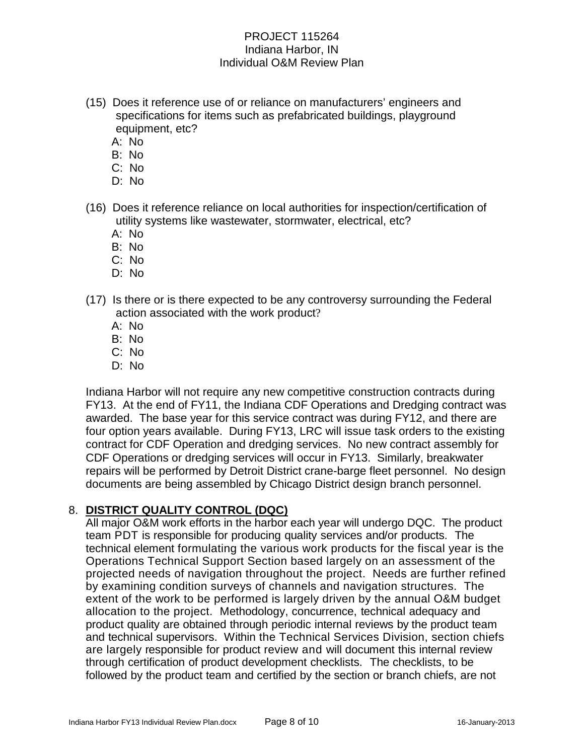- (15) Does it reference use of or reliance on manufacturers' engineers and specifications for items such as prefabricated buildings, playground equipment, etc?
	- A: No
	- B: No
	- C: No
	- D: No
- (16) Does it reference reliance on local authorities for inspection/certification of utility systems like wastewater, stormwater, electrical, etc?
	- A: No
	- B: No
	- C: No
	- D: No
- (17) Is there or is there expected to be any controversy surrounding the Federal action associated with the work product?
	- A: No
	- B: No
	- C: No
	- D: No

Indiana Harbor will not require any new competitive construction contracts during FY13. At the end of FY11, the Indiana CDF Operations and Dredging contract was awarded. The base year for this service contract was during FY12, and there are four option years available. During FY13, LRC will issue task orders to the existing contract for CDF Operation and dredging services. No new contract assembly for CDF Operations or dredging services will occur in FY13. Similarly, breakwater repairs will be performed by Detroit District crane-barge fleet personnel. No design documents are being assembled by Chicago District design branch personnel.

## 8. **DISTRICT QUALITY CONTROL (DQC)**

All major O&M work efforts in the harbor each year will undergo DQC. The product team PDT is responsible for producing quality services and/or products. The technical element formulating the various work products for the fiscal year is the Operations Technical Support Section based largely on an assessment of the projected needs of navigation throughout the project. Needs are further refined by examining condition surveys of channels and navigation structures. The extent of the work to be performed is largely driven by the annual O&M budget allocation to the project. Methodology, concurrence, technical adequacy and product quality are obtained through periodic internal reviews by the product team and technical supervisors. Within the Technical Services Division, section chiefs are largely responsible for product review and will document this internal review through certification of product development checklists. The checklists, to be followed by the product team and certified by the section or branch chiefs, are not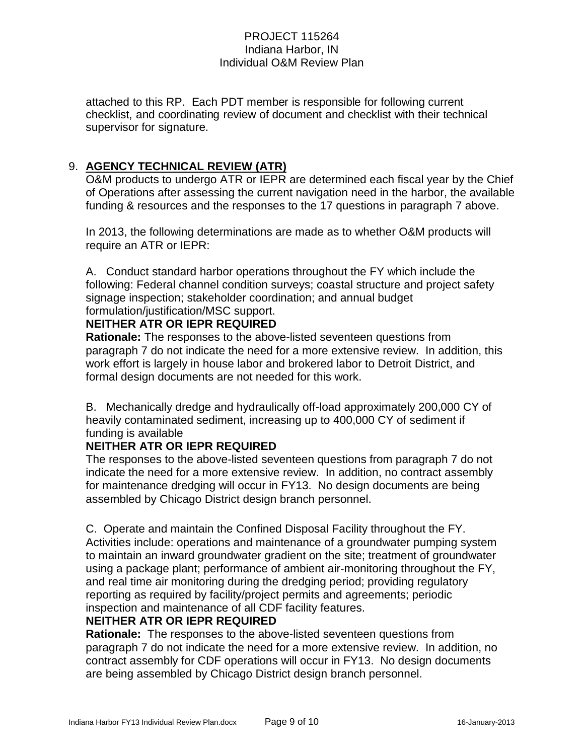attached to this RP. Each PDT member is responsible for following current checklist, and coordinating review of document and checklist with their technical supervisor for signature.

## 9. **AGENCY TECHNICAL REVIEW (ATR)**

O&M products to undergo ATR or IEPR are determined each fiscal year by the Chief of Operations after assessing the current navigation need in the harbor, the available funding & resources and the responses to the 17 questions in paragraph 7 above.

In 2013, the following determinations are made as to whether O&M products will require an ATR or IEPR:

A. Conduct standard harbor operations throughout the FY which include the following: Federal channel condition surveys; coastal structure and project safety signage inspection; stakeholder coordination; and annual budget formulation/justification/MSC support.

## **NEITHER ATR OR IEPR REQUIRED**

**Rationale:** The responses to the above-listed seventeen questions from paragraph 7 do not indicate the need for a more extensive review. In addition, this work effort is largely in house labor and brokered labor to Detroit District, and formal design documents are not needed for this work.

B. Mechanically dredge and hydraulically off-load approximately 200,000 CY of heavily contaminated sediment, increasing up to 400,000 CY of sediment if funding is available

## **NEITHER ATR OR IEPR REQUIRED**

The responses to the above-listed seventeen questions from paragraph 7 do not indicate the need for a more extensive review. In addition, no contract assembly for maintenance dredging will occur in FY13. No design documents are being assembled by Chicago District design branch personnel.

C. Operate and maintain the Confined Disposal Facility throughout the FY. Activities include: operations and maintenance of a groundwater pumping system to maintain an inward groundwater gradient on the site; treatment of groundwater using a package plant; performance of ambient air-monitoring throughout the FY, and real time air monitoring during the dredging period; providing regulatory reporting as required by facility/project permits and agreements; periodic inspection and maintenance of all CDF facility features.

## **NEITHER ATR OR IEPR REQUIRED**

**Rationale:** The responses to the above-listed seventeen questions from paragraph 7 do not indicate the need for a more extensive review. In addition, no contract assembly for CDF operations will occur in FY13. No design documents are being assembled by Chicago District design branch personnel.